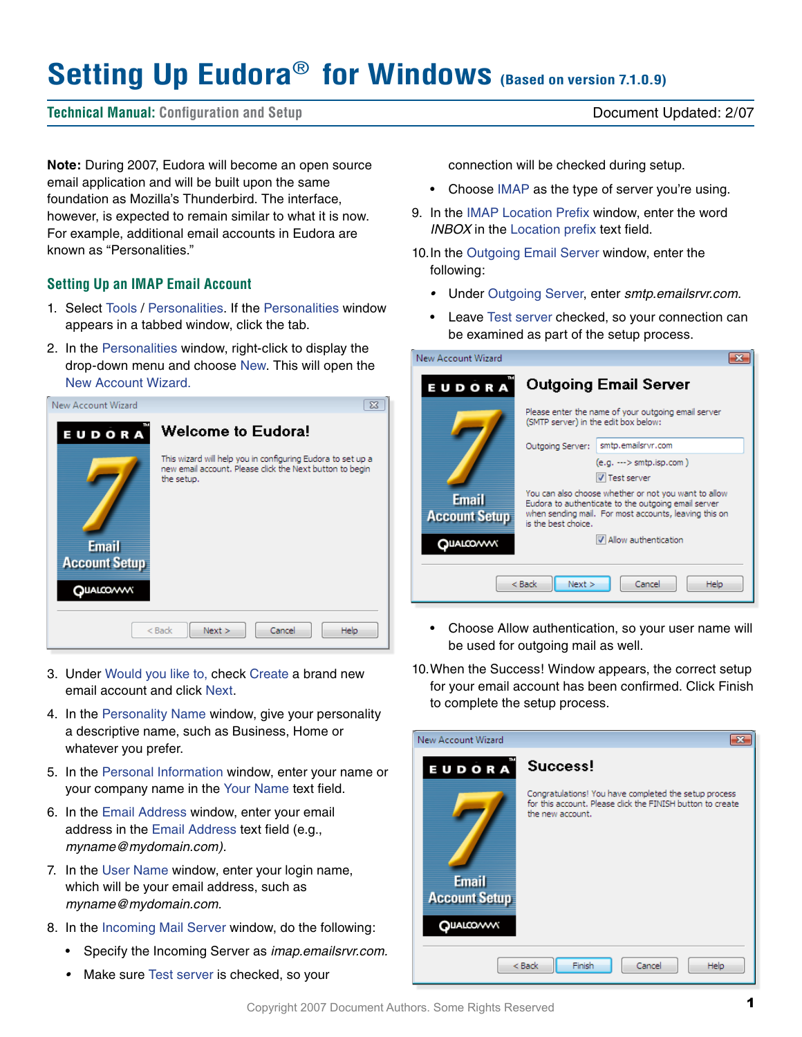# **Setting Up Eudora**® **for Windows (Based on version 7.1.0.9)**

## **Technical Manual: Configuration and Setup** Document Updated: 2/07

**Note:** During 2007, Eudora will become an open source email application and will be built upon the same foundation as Mozilla's Thunderbird. The interface, however, is expected to remain similar to what it is now. For example, additional email accounts in Eudora are known as "Personalities."

## **Setting Up an IMAP Email Account**

- 1. Select Tools / Personalities. If the Personalities window appears in a tabbed window, click the tab.
- 2. In the Personalities window, right-click to display the drop-down menu and choose New. This will open the New Account Wizard.



- 3. Under Would you like to, check Create a brand new email account and click Next.
- 4. In the Personality Name window, give your personality a descriptive name, such as Business, Home or whatever you prefer.
- 5. In the Personal Information window, enter your name or your company name in the Your Name text field.
- 6. In the Email Address window, enter your email address in the Email Address text field (e.g., *myname@mydomain.com).*
- 7. In the User Name window, enter your login name, which will be your email address, such as *myname@mydomain.com.*
- 8. In the Incoming Mail Server window, do the following:
	- Specify the Incoming Server as *imap.emailsrvr.com.*
	- *•*  Make sure Test server is checked, so your

connection will be checked during setup.

- Choose IMAP as the type of server you're using.
- 9. In the IMAP Location Prefix window, enter the word *INBOX* in the Location prefix text field.
- 10.In the Outgoing Email Server window, enter the following:
	- *•*  Under Outgoing Server, enter *smtp.emailsrvr.com.*
	- Leave Test server checked, so your connection can be examined as part of the setup process.

| New Account Wizard                |                                                                                                             |  |
|-----------------------------------|-------------------------------------------------------------------------------------------------------------|--|
| EUDORA                            | <b>Outgoing Email Server</b>                                                                                |  |
|                                   | Please enter the name of your outgoing email server<br>(SMTP server) in the edit box below:                 |  |
|                                   | smtp.emailsrvr.com<br>Outgoing Server:                                                                      |  |
|                                   | $(e.g. \longrightarrow smtp.isp.com)$                                                                       |  |
|                                   | <b>V</b> Test server                                                                                        |  |
| <b>Email</b>                      | You can also choose whether or not you want to allow<br>Eudora to authenticate to the outgoing email server |  |
| <b>Account Setup</b>              | when sending mail. For most accounts, leaving this on                                                       |  |
|                                   | is the best choice.                                                                                         |  |
| QUALCOVVV                         | V Allow authentication                                                                                      |  |
|                                   |                                                                                                             |  |
| Next<br>$Back$<br>Cancel<br>Help. |                                                                                                             |  |
|                                   |                                                                                                             |  |

- Choose Allow authentication, so your user name will be used for outgoing mail as well.
- 10.When the Success! Window appears, the correct setup for your email account has been confirmed. Click Finish to complete the setup process.

| New Account Wizard                                |                                                                                                                                         |
|---------------------------------------------------|-----------------------------------------------------------------------------------------------------------------------------------------|
| EUDORA                                            | Success!                                                                                                                                |
| <b>Email</b><br><b>Account Setup</b><br>QUALCOVVV | Congratulations! You have completed the setup process<br>for this account. Please click the FINISH button to create<br>the new account. |
| Finish<br>$<$ Back<br>Cancel<br><b>Help</b>       |                                                                                                                                         |